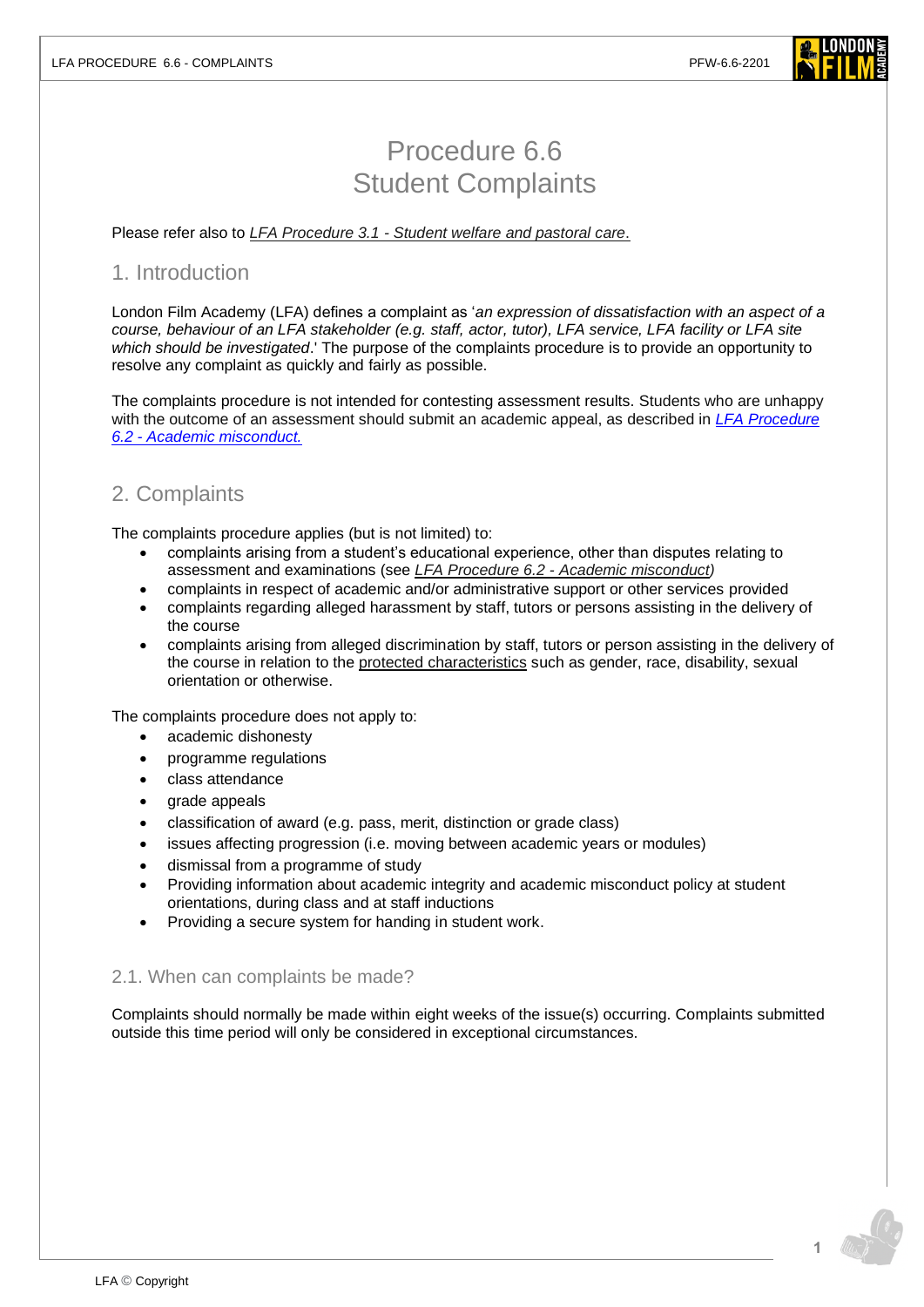

# Procedure 6.6 Student Complaints

Please refer also to *LFA Procedure 3.1 - [Student welfare and pastoral care](https://www.londonfilmacademy.com/LFA_Procedure_3.1_Student_welfare_and_pastoral_care)*.

# 1. Introduction

London Film Academy (LFA) defines a complaint as '*an expression of dissatisfaction with an aspect of a course, behaviour of an LFA stakeholder (e.g. staff, actor, tutor), LFA service, LFA facility or LFA site which should be investigated*.' The purpose of the complaints procedure is to provide an opportunity to resolve any complaint as quickly and fairly as possible.

The complaints procedure is not intended for contesting assessment results. Students who are unhappy with the outcome of an assessment should submit an academic appeal, as described in *[LFA Procedure](https://www.londonfilmacademy.com/LFA_Procedure_6.2_Academic_misconduct.pdf)  6.2 - [Academic misconduct.](https://www.londonfilmacademy.com/LFA_Procedure_6.2_Academic_misconduct.pdf)*

# 2. Complaints

The complaints procedure applies (but is not limited) to:

- complaints arising from a student's educational experience, other than disputes relating to assessment and examinations (see *LFA Procedure 6.2 - [Academic misconduct\)](https://www.londonfilmacademy.com/LFA_Procedure_6.2_Academic_misconduct.pdf)*
- complaints in respect of academic and/or administrative support or other services provided
- complaints regarding alleged harassment by staff, tutors or persons assisting in the delivery of the course
- complaints arising from alleged discrimination by staff, tutors or person assisting in the delivery of the course in relation to the [protected characteristics](https://www.equalityhumanrights.com/en/equality-act/protected-characteristics) such as gender, race, disability, sexual orientation or otherwise.

The complaints procedure does not apply to:

- academic dishonesty
- programme regulations
- class attendance
- grade appeals
- classification of award (e.g. pass, merit, distinction or grade class)
- issues affecting progression (i.e. moving between academic years or modules)
- dismissal from a programme of study
- Providing information about academic integrity and academic misconduct policy at student orientations, during class and at staff inductions
- Providing a secure system for handing in student work.

# 2.1. When can complaints be made?

Complaints should normally be made within eight weeks of the issue(s) occurring. Complaints submitted outside this time period will only be considered in exceptional circumstances.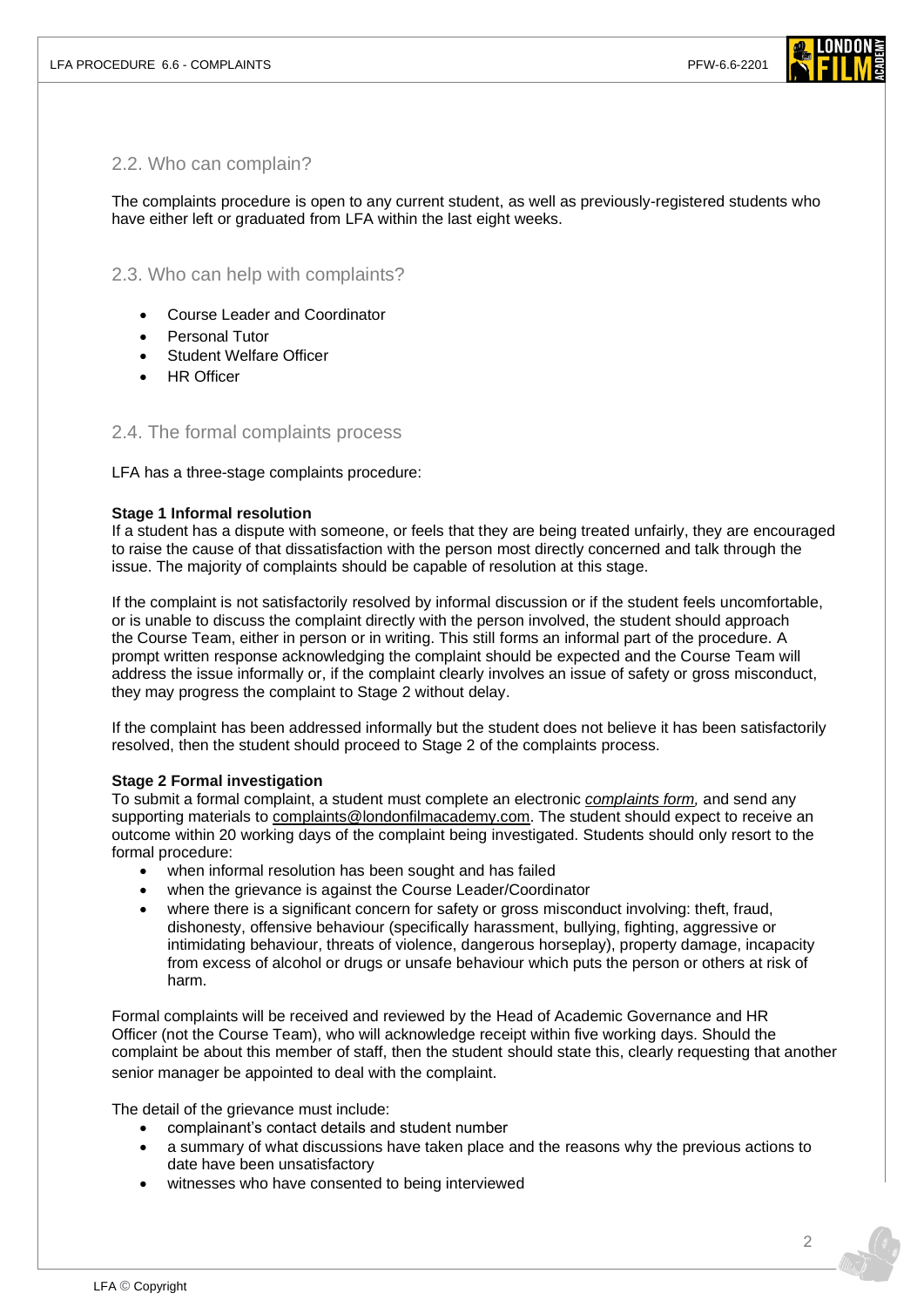

# 2.2. Who can complain?

The complaints procedure is open to any current student, as well as previously-registered students who have either left or graduated from LFA within the last eight weeks.

# 2.3. Who can help with complaints?

- Course Leader and Coordinator
- Personal Tutor
- Student Welfare Officer
- **HR Officer**

### 2.4. The formal complaints process

#### LFA has a three-stage complaints procedure:

#### **Stage 1 Informal resolution**

If a student has a dispute with someone, or feels that they are being treated unfairly, they are encouraged to raise the cause of that dissatisfaction with the person most directly concerned and talk through the issue. The majority of complaints should be capable of resolution at this stage.

If the complaint is not satisfactorily resolved by informal discussion or if the student feels uncomfortable, or is unable to discuss the complaint directly with the person involved, the student should approach the Course Team, either in person or in writing. This still forms an informal part of the procedure. A prompt written response acknowledging the complaint should be expected and the Course Team will address the issue informally or, if the complaint clearly involves an issue of safety or gross misconduct, they may progress the complaint to Stage 2 without delay.

If the complaint has been addressed informally but the student does not believe it has been satisfactorily resolved, then the student should proceed to Stage 2 of the complaints process.

#### **Stage 2 Formal investigation**

To submit a formal complaint, a student must complete an electronic *[complaints form,](https://forms.office.com/r/BB0b2xukWj)* and send any supporting materials to [complaints@londonfilmacademy.com.](mailto:complaints@londonfilmacademy.com) The student should expect to receive an outcome within 20 working days of the complaint being investigated. Students should only resort to the formal procedure:

- when informal resolution has been sought and has failed
- when the grievance is against the Course Leader/Coordinator
- where there is a significant concern for safety or gross misconduct involving: theft, fraud, dishonesty, offensive behaviour (specifically harassment, bullying, fighting, aggressive or intimidating behaviour, threats of violence, dangerous horseplay), property damage, incapacity from excess of alcohol or drugs or unsafe behaviour which puts the person or others at risk of harm.

Formal complaints will be received and reviewed by the Head of Academic Governance and HR Officer (not the Course Team), who will acknowledge receipt within five working days. Should the complaint be about this member of staff, then the student should state this, clearly requesting that another senior manager be appointed to deal with the complaint.

The detail of the grievance must include:

- complainant's contact details and student number
- a summary of what discussions have taken place and the reasons why the previous actions to date have been unsatisfactory
- witnesses who have consented to being interviewed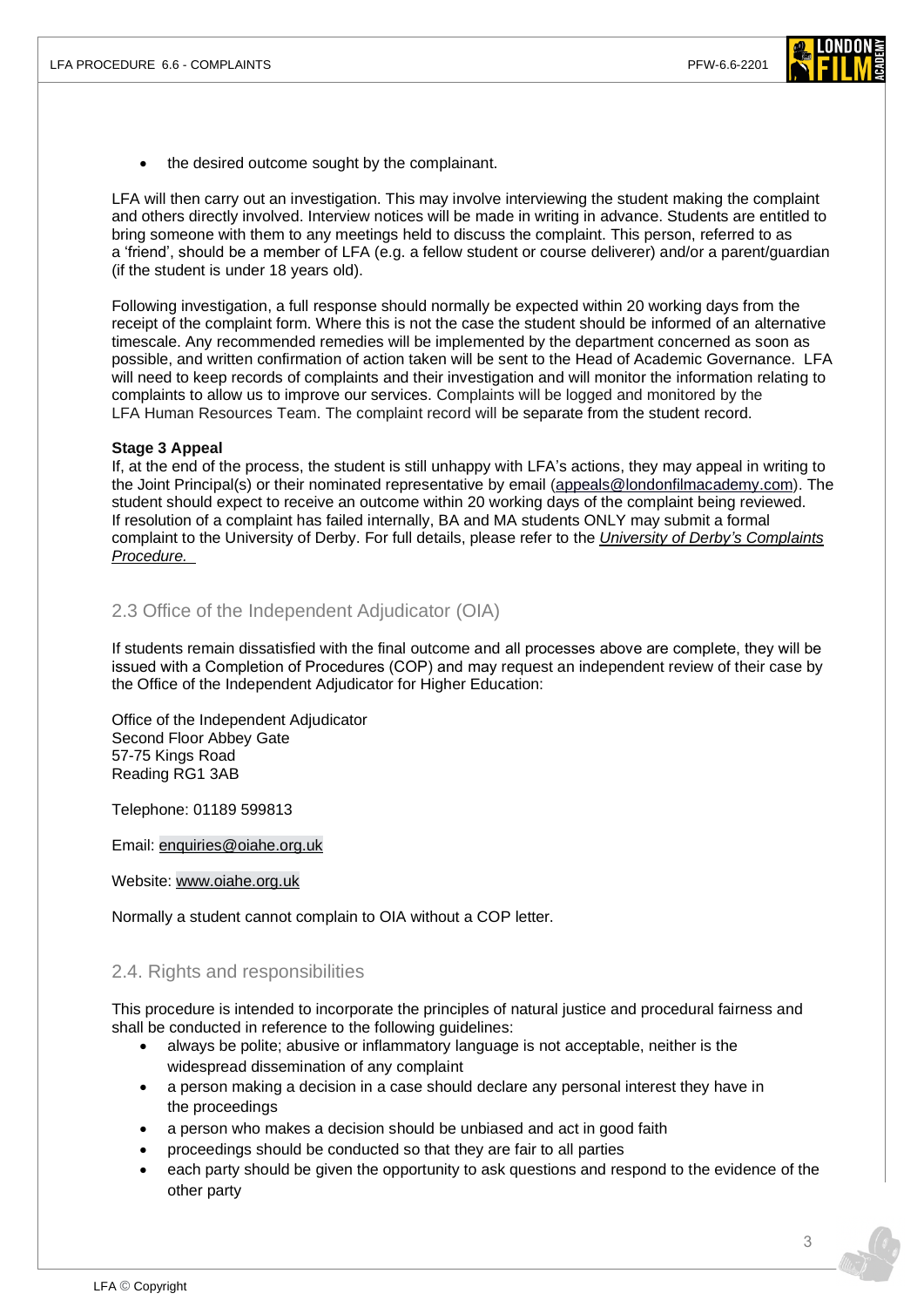

the desired outcome sought by the complainant.

LFA will then carry out an investigation. This may involve interviewing the student making the complaint and others directly involved. Interview notices will be made in writing in advance. Students are entitled to bring someone with them to any meetings held to discuss the complaint. This person, referred to as a 'friend', should be a member of LFA (e.g. a fellow student or course deliverer) and/or a parent/guardian (if the student is under 18 years old).

Following investigation, a full response should normally be expected within 20 working days from the receipt of the complaint form. Where this is not the case the student should be informed of an alternative timescale. Any recommended remedies will be implemented by the department concerned as soon as possible, and written confirmation of action taken will be sent to the Head of Academic Governance. LFA will need to keep records of complaints and their investigation and will monitor the information relating to complaints to allow us to improve our services. Complaints will be logged and monitored by the LFA Human Resources Team. The complaint record will be separate from the student record.

#### **Stage 3 Appeal**

If, at the end of the process, the student is still unhappy with LFA's actions, they may appeal in writing to the Joint Principal(s) or their nominated representative by email [\(appeals@londonfilmacademy.com\)](mailto:appeals@londonfilmacademy.com?subject=Complaint%20Appeal). The student should expect to receive an outcome within 20 working days of the complaint being reviewed. If resolution of a complaint has failed internally, BA and MA students ONLY may submit a formal complaint to the University of Derby. For full details, please refer to the *University [of Derby's Complaints](https://www.derby.ac.uk/about/academic-regulations/complaints-procedure/) [Procedure.](https://www.derby.ac.uk/about/academic-regulations/complaints-procedure/)*

## 2.3 Office of the Independent Adjudicator (OIA)

If students remain dissatisfied with the final outcome and all processes above are complete, they will be issued with a Completion of Procedures (COP) and may request an independent review of their case by the Office of the Independent Adjudicator for Higher Education:

Office of the Independent Adjudicator Second Floor Abbey Gate 57-75 Kings Road Reading RG1 3AB

Telephone: 01189 599813

Email: [enquiries@oiahe.org.uk](mailto:enquiries@oiahe.org.uk)

Website: www.oiahe.org.uk

Normally a student cannot complain to OIA without a COP letter.

### 2.4. Rights and responsibilities

This procedure is intended to incorporate the principles of natural justice and procedural fairness and shall be conducted in reference to the following guidelines:

- always be polite; abusive or inflammatory language is not acceptable, neither is the widespread dissemination of any complaint
- a person making a decision in a case should declare any personal interest they have in the proceedings
- a person who makes a decision should be unbiased and act in good faith
- proceedings should be conducted so that they are fair to all parties
- each party should be given the opportunity to ask questions and respond to the evidence of the other party